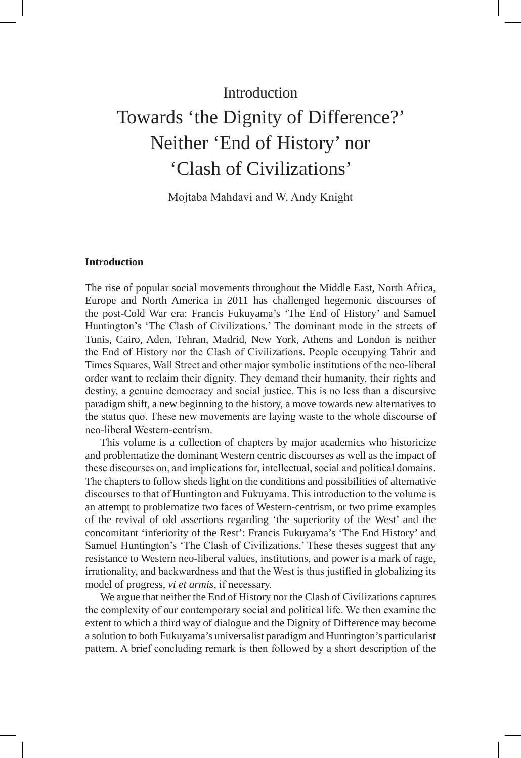# **Introduction** Towards 'the Dignity of Difference?' Neither 'End of History' nor 'Clash of Civilizations'

Mojtaba Mahdavi and W. Andy Knight

# **Introduction**

The rise of popular social movements throughout the Middle East, North Africa, Europe and North America in 2011 has challenged hegemonic discourses of the post-Cold War era: Francis Fukuyama's 'The End of History' and Samuel Huntington's 'The Clash of Civilizations.' The dominant mode in the streets of Tunis, Cairo, Aden, Tehran, Madrid, New York, Athens and London is neither the End of History nor the Clash of Civilizations. People occupying Tahrir and Times Squares, Wall Street and other major symbolic institutions of the neo-liberal order want to reclaim their dignity. They demand their humanity, their rights and destiny, a genuine democracy and social justice. This is no less than a discursive paradigm shift, a new beginning to the history, a move towards new alternatives to the status quo. These new movements are laying waste to the whole discourse of neo-liberal Western-centrism.

This volume is a collection of chapters by major academics who historicize and problematize the dominant Western centric discourses as well as the impact of these discourses on, and implications for, intellectual, social and political domains. The chapters to follow sheds light on the conditions and possibilities of alternative discourses to that of Huntington and Fukuyama. This introduction to the volume is an attempt to problematize two faces of Western-centrism, or two prime examples of the revival of old assertions regarding 'the superiority of the West' and the concomitant 'inferiority of the Rest': Francis Fukuyama's 'The End History' and Samuel Huntington's 'The Clash of Civilizations.' These theses suggest that any resistance to Western neo-liberal values, institutions, and power is a mark of rage, irrationality, and backwardness and that the West is thus justified in globalizing its model of progress, *vi et armis*, if necessary.

We argue that neither the End of History nor the Clash of Civilizations captures the complexity of our contemporary social and political life. We then examine the extent to which a third way of dialogue and the Dignity of Difference may become a solution to both Fukuyama's universalist paradigm and Huntington's particularist pattern. A brief concluding remark is then followed by a short description of the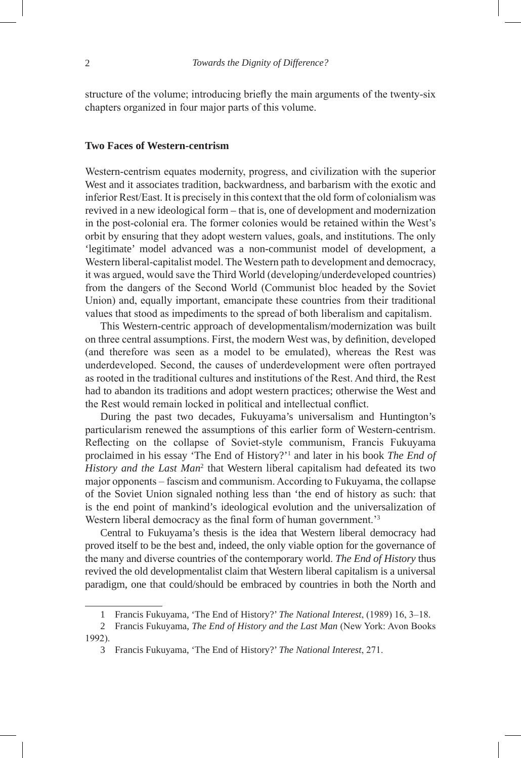structure of the volume; introducing briefly the main arguments of the twenty-six chapters organized in four major parts of this volume.

### **Two Faces of Western-centrism**

Western-centrism equates modernity, progress, and civilization with the superior West and it associates tradition, backwardness, and barbarism with the exotic and inferior Rest/East. It is precisely in this context that the old form of colonialism was revived in a new ideological form – that is, one of development and modernization in the post-colonial era. The former colonies would be retained within the West's orbit by ensuring that they adopt western values, goals, and institutions. The only 'legitimate' model advanced was a non-communist model of development, a Western liberal-capitalist model. The Western path to development and democracy, it was argued, would save the Third World (developing/underdeveloped countries) from the dangers of the Second World (Communist bloc headed by the Soviet Union) and, equally important, emancipate these countries from their traditional values that stood as impediments to the spread of both liberalism and capitalism.

This Western-centric approach of developmentalism/modernization was built on three central assumptions. First, the modern West was, by definition, developed (and therefore was seen as a model to be emulated), whereas the Rest was underdeveloped. Second, the causes of underdevelopment were often portrayed as rooted in the traditional cultures and institutions of the Rest. And third, the Rest had to abandon its traditions and adopt western practices; otherwise the West and the Rest would remain locked in political and intellectual conflict.

During the past two decades, Fukuyama's universalism and Huntington's particularism renewed the assumptions of this earlier form of Western-centrism. Reflecting on the collapse of Soviet-style communism, Francis Fukuyama proclaimed in his essay 'The End of History?'<sup>1</sup> and later in his book *The End of* History and the Last Man<sup>2</sup> that Western liberal capitalism had defeated its two major opponents – fascism and communism. According to Fukuyama, the collapse of the Soviet Union signaled nothing less than 'the end of history as such: that is the end point of mankind's ideological evolution and the universalization of Western liberal democracy as the final form of human government.<sup>3</sup>

Central to Fukuyama's thesis is the idea that Western liberal democracy had proved itself to be the best and, indeed, the only viable option for the governance of the many and diverse countries of the contemporary world. *The End of History* thus revived the old developmentalist claim that Western liberal capitalism is a universal paradigm, one that could/should be embraced by countries in both the North and

<sup>1</sup> Francis Fukuyama, 'The End of History?' *The National Interest*, (1989) 16, 3–18.

<sup>2</sup> Francis Fukuyama, *The End of History and the Last Man* (New York: Avon Books 1992).

<sup>3</sup> Francis Fukuyama, 'The End of History?' *The National Interest*, 271.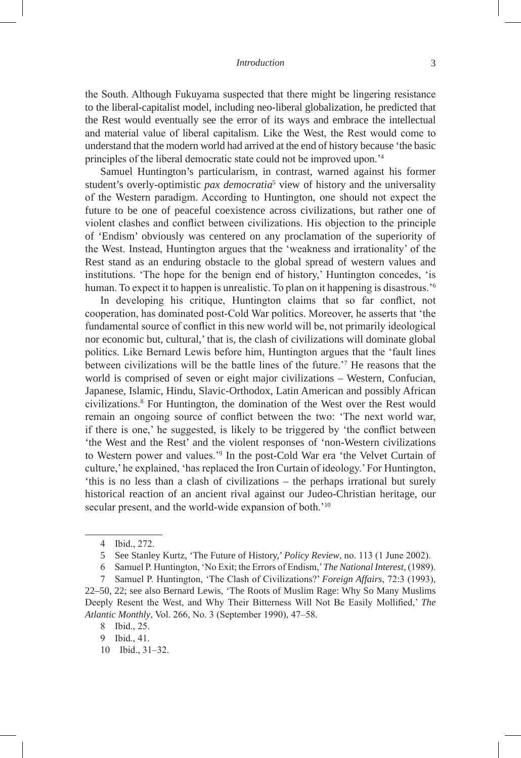the South. Although Fukuyama suspected that there might be lingering resistance to the liberal-capitalist model, including neo-liberal globalization, he predicted that the Rest would eventually see the error of its ways and embrace the intellectual and material value of liberal capitalism. Like the West, the Rest would come to understand that the modern world had arrived at the end of history because 'the basic principles of the liberal democratic state could not be improved upon.'<sup>4</sup>

Samuel Huntington's particularism, in contrast, warned against his former student's overly-optimistic *pax democratia*<sup>5</sup> view of history and the universality of the Western paradigm. According to Huntington, one should not expect the future to be one of peaceful coexistence across civilizations, but rather one of violent clashes and conflict between civilizations. His objection to the principle of 'Endism' obviously was centered on any proclamation of the superiority of the West. Instead, Huntington argues that the 'weakness and irrationality' of the Rest stand as an enduring obstacle to the global spread of western values and institutions. 'The hope for the benign end of history,' Huntington concedes, 'is human. To expect it to happen is unrealistic. To plan on it happening is disastrous.'<sup>6</sup>

In developing his critique, Huntington claims that so far conflict, not cooperation, has dominated post-Cold War politics. Moreover, he asserts that 'the fundamental source of conflict in this new world will be, not primarily ideological nor economic but, cultural,' that is, the clash of civilizations will dominate global politics. Like Bernard Lewis before him, Huntington argues that the 'fault lines between civilizations will be the battle lines of the future.'<sup>7</sup> He reasons that the world is comprised of seven or eight major civilizations – Western, Confucian, Japanese, Islamic, Hindu, Slavic-Orthodox, Latin American and possibly African civilizations.<sup>8</sup> For Huntington, the domination of the West over the Rest would remain an ongoing source of conflict between the two: 'The next world war, if there is one,' he suggested, is likely to be triggered by 'the conflict between 'the West and the Rest' and the violent responses of 'non-Western civilizations to Western power and values.'<sup>9</sup> In the post-Cold War era 'the Velvet Curtain of culture,' he explained, 'has replaced the Iron Curtain of ideology.' For Huntington, 'this is no less than a clash of civilizations – the perhaps irrational but surely historical reaction of an ancient rival against our Judeo-Christian heritage, our secular present, and the world-wide expansion of both.<sup>'10</sup>

<sup>4</sup> Ibid., 272.

<sup>5</sup> See Stanley Kurtz, 'The Future of History,' *Policy Review*, no. 113 (1 June 2002).

<sup>6</sup> Samuel P. Huntington, 'No Exit; the Errors of Endism,' *The National Interest*, (1989).

<sup>7</sup> Samuel P. Huntington, 'The Clash of Civilizations?' *Foreign Affairs*, 72:3 (1993), 22–50, 22; see also Bernard Lewis, 'The Roots of Muslim Rage: Why So Many Muslims Deeply Resent the West, and Why Their Bitterness Will Not Be Easily Mollified,' *The Atlantic Monthly*, Vol. 266, No. 3 (September 1990), 47–58.

<sup>8</sup> Ibid., 25.

<sup>9</sup> Ibid., 41.

<sup>10</sup> Ibid., 31–32.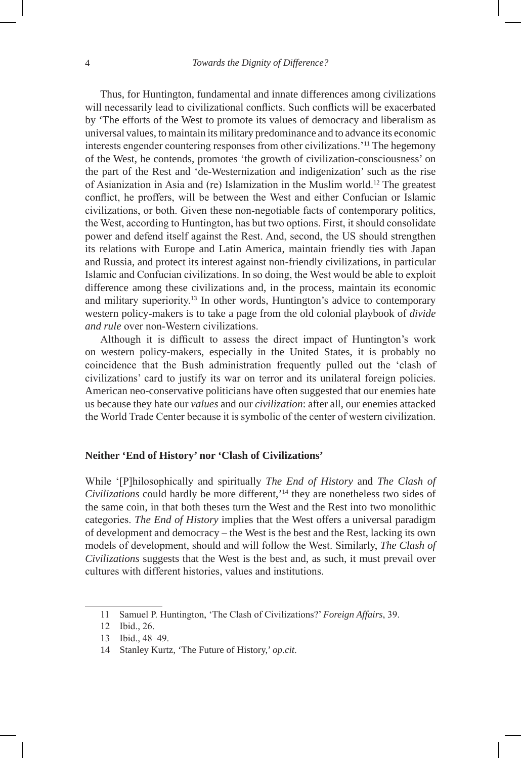Thus, for Huntington, fundamental and innate differences among civilizations will necessarily lead to civilizational conflicts. Such conflicts will be exacerbated by 'The efforts of the West to promote its values of democracy and liberalism as universal values, to maintain its military predominance and to advance its economic interests engender countering responses from other civilizations.'11 The hegemony of the West, he contends, promotes 'the growth of civilization-consciousness' on the part of the Rest and 'de-Westernization and indigenization' such as the rise of Asianization in Asia and (re) Islamization in the Muslim world.12 The greatest conflict, he proffers, will be between the West and either Confucian or Islamic civilizations, or both. Given these non-negotiable facts of contemporary politics, the West, according to Huntington, has but two options. First, it should consolidate power and defend itself against the Rest. And, second, the US should strengthen its relations with Europe and Latin America, maintain friendly ties with Japan and Russia, and protect its interest against non-friendly civilizations, in particular Islamic and Confucian civilizations. In so doing, the West would be able to exploit difference among these civilizations and, in the process, maintain its economic and military superiority.<sup>13</sup> In other words, Huntington's advice to contemporary western policy-makers is to take a page from the old colonial playbook of *divide and rule* over non-Western civilizations.

Although it is difficult to assess the direct impact of Huntington's work on western policy-makers, especially in the United States, it is probably no coincidence that the Bush administration frequently pulled out the 'clash of civilizations' card to justify its war on terror and its unilateral foreign policies. American neo-conservative politicians have often suggested that our enemies hate us because they hate our *values* and our *civilization*: after all, our enemies attacked the World Trade Center because it is symbolic of the center of western civilization.

## **Neither 'End of History' nor 'Clash of Civilizations'**

While '[P]hilosophically and spiritually *The End of History* and *The Clash of Civilizations* could hardly be more different,'14 they are nonetheless two sides of the same coin, in that both theses turn the West and the Rest into two monolithic categories. *The End of History* implies that the West offers a universal paradigm of development and democracy – the West is the best and the Rest, lacking its own models of development, should and will follow the West. Similarly, *The Clash of Civilizations* suggests that the West is the best and, as such, it must prevail over cultures with different histories, values and institutions.

<sup>11</sup> Samuel P. Huntington, 'The Clash of Civilizations?' *Foreign Affairs*, 39.

<sup>12</sup> Ibid., 26.

<sup>13</sup> Ibid., 48–49.

<sup>14</sup> Stanley Kurtz, 'The Future of History,' *op.cit*.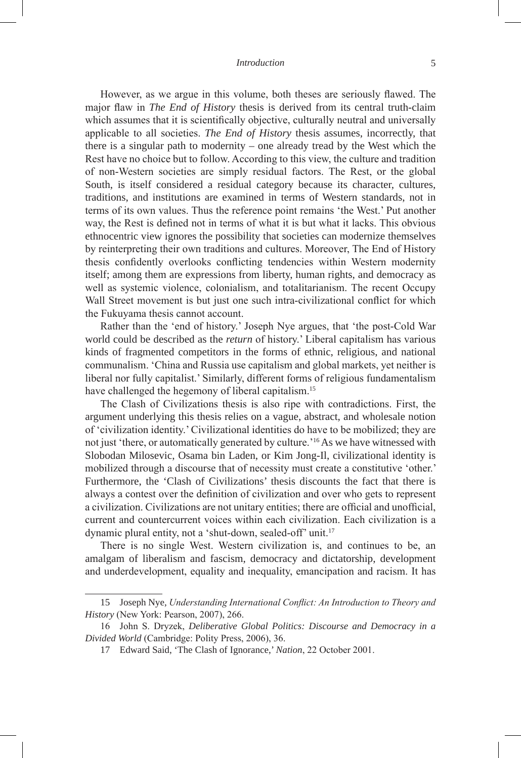#### *Introduction* 5

However, as we argue in this volume, both theses are seriously flawed. The major flaw in *The End of History* thesis is derived from its central truth-claim which assumes that it is scientifically objective, culturally neutral and universally applicable to all societies. *The End of History* thesis assumes, incorrectly, that there is a singular path to modernity – one already tread by the West which the Rest have no choice but to follow. According to this view, the culture and tradition of non-Western societies are simply residual factors. The Rest, or the global South, is itself considered a residual category because its character, cultures, traditions, and institutions are examined in terms of Western standards, not in terms of its own values. Thus the reference point remains 'the West.' Put another way, the Rest is defined not in terms of what it is but what it lacks. This obvious ethnocentric view ignores the possibility that societies can modernize themselves by reinterpreting their own traditions and cultures. Moreover, The End of History thesis confidently overlooks conflicting tendencies within Western modernity itself; among them are expressions from liberty, human rights, and democracy as well as systemic violence, colonialism, and totalitarianism. The recent Occupy Wall Street movement is but just one such intra-civilizational conflict for which the Fukuyama thesis cannot account.

Rather than the 'end of history.' Joseph Nye argues, that 'the post-Cold War world could be described as the *return* of history.' Liberal capitalism has various kinds of fragmented competitors in the forms of ethnic, religious, and national communalism. 'China and Russia use capitalism and global markets, yet neither is liberal nor fully capitalist.' Similarly, different forms of religious fundamentalism have challenged the hegemony of liberal capitalism.<sup>15</sup>

The Clash of Civilizations thesis is also ripe with contradictions. First, the argument underlying this thesis relies on a vague, abstract, and wholesale notion of 'civilization identity.' Civilizational identities do have to be mobilized; they are not just 'there, or automatically generated by culture.'16As we have witnessed with Slobodan Milosevic, Osama bin Laden, or Kim Jong-Il, civilizational identity is mobilized through a discourse that of necessity must create a constitutive 'other.' Furthermore, the 'Clash of Civilizations' thesis discounts the fact that there is always a contest over the definition of civilization and over who gets to represent a civilization. Civilizations are not unitary entities; there are official and unofficial, current and countercurrent voices within each civilization. Each civilization is a dynamic plural entity, not a 'shut-down, sealed-off' unit.<sup>17</sup>

There is no single West. Western civilization is, and continues to be, an amalgam of liberalism and fascism, democracy and dictatorship, development and underdevelopment, equality and inequality, emancipation and racism. It has

<sup>15</sup> Joseph Nye, *Understanding International Conflict: An Introduction to Theory and History* (New York: Pearson, 2007), 266.

<sup>16</sup> John S. Dryzek, *Deliberative Global Politics: Discourse and Democracy in a Divided World* (Cambridge: Polity Press, 2006), 36.

<sup>17</sup> Edward Said, 'The Clash of Ignorance,' *Nation*, 22 October 2001.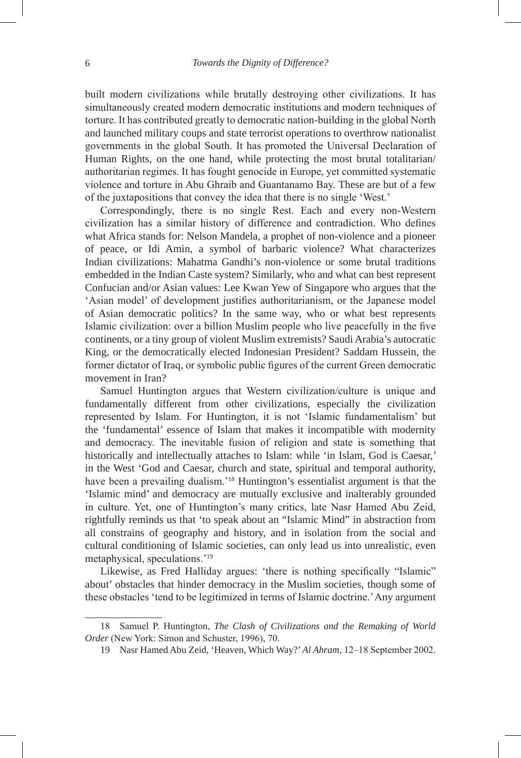built modern civilizations while brutally destroying other civilizations. It has simultaneously created modern democratic institutions and modern techniques of torture. It has contributed greatly to democratic nation-building in the global North and launched military coups and state terrorist operations to overthrow nationalist governments in the global South. It has promoted the Universal Declaration of Human Rights, on the one hand, while protecting the most brutal totalitarian/ authoritarian regimes. It has fought genocide in Europe, yet committed systematic violence and torture in Abu Ghraib and Guantanamo Bay. These are but of a few of the juxtapositions that convey the idea that there is no single 'West.'

Correspondingly, there is no single Rest. Each and every non-Western civilization has a similar history of difference and contradiction. Who defines what Africa stands for: Nelson Mandela, a prophet of non-violence and a pioneer of peace, or Idi Amin, a symbol of barbaric violence? What characterizes Indian civilizations: Mahatma Gandhi's non-violence or some brutal traditions embedded in the Indian Caste system? Similarly, who and what can best represent Confucian and/or Asian values: Lee Kwan Yew of Singapore who argues that the 'Asian model' of development justifies authoritarianism, or the Japanese model of Asian democratic politics? In the same way, who or what best represents Islamic civilization: over a billion Muslim people who live peacefully in the five continents, or a tiny group of violent Muslim extremists? Saudi Arabia's autocratic King, or the democratically elected Indonesian President? Saddam Hussein, the former dictator of Iraq, or symbolic public figures of the current Green democratic movement in Iran?

Samuel Huntington argues that Western civilization/culture is unique and fundamentally different from other civilizations, especially the civilization represented by Islam. For Huntington, it is not 'Islamic fundamentalism' but the 'fundamental' essence of Islam that makes it incompatible with modernity and democracy. The inevitable fusion of religion and state is something that historically and intellectually attaches to Islam: while 'in Islam, God is Caesar,' in the West 'God and Caesar, church and state, spiritual and temporal authority, have been a prevailing dualism.'<sup>18</sup> Huntington's essentialist argument is that the 'Islamic mind' and democracy are mutually exclusive and inalterably grounded in culture. Yet, one of Huntington's many critics, late Nasr Hamed Abu Zeid, rightfully reminds us that 'to speak about an "Islamic Mind" in abstraction from all constrains of geography and history, and in isolation from the social and cultural conditioning of Islamic societies, can only lead us into unrealistic, even metaphysical, speculations.'<sup>19</sup>

Likewise, as Fred Halliday argues: 'there is nothing specifically "Islamic" about' obstacles that hinder democracy in the Muslim societies, though some of these obstacles 'tend to be legitimized in terms of Islamic doctrine.' Any argument

<sup>18</sup> Samuel P. Huntington, *The Clash of Civilizations and the Remaking of World Order* (New York: Simon and Schuster, 1996), 70.

<sup>19</sup> Nasr Hamed Abu Zeid, 'Heaven, Which Way?'*Al Ahram*, 12–18 September 2002.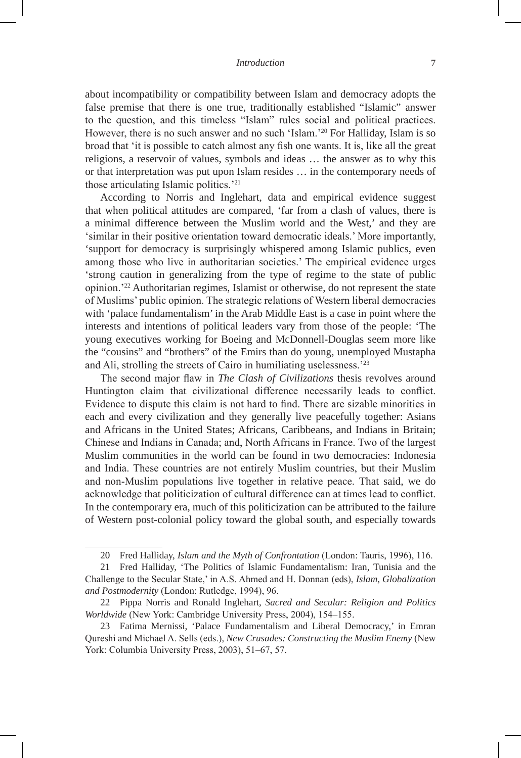about incompatibility or compatibility between Islam and democracy adopts the false premise that there is one true, traditionally established "Islamic" answer to the question, and this timeless "Islam" rules social and political practices. However, there is no such answer and no such 'Islam.'<sup>20</sup> For Halliday, Islam is so broad that 'it is possible to catch almost any fish one wants. It is, like all the great religions, a reservoir of values, symbols and ideas … the answer as to why this or that interpretation was put upon Islam resides … in the contemporary needs of those articulating Islamic politics.'<sup>21</sup>

According to Norris and Inglehart, data and empirical evidence suggest that when political attitudes are compared, 'far from a clash of values, there is a minimal difference between the Muslim world and the West,' and they are 'similar in their positive orientation toward democratic ideals.' More importantly, 'support for democracy is surprisingly whispered among Islamic publics, even among those who live in authoritarian societies.' The empirical evidence urges 'strong caution in generalizing from the type of regime to the state of public opinion.'<sup>22</sup> Authoritarian regimes, Islamist or otherwise, do not represent the state of Muslims' public opinion. The strategic relations of Western liberal democracies with 'palace fundamentalism' in the Arab Middle East is a case in point where the interests and intentions of political leaders vary from those of the people: 'The young executives working for Boeing and McDonnell-Douglas seem more like the "cousins" and "brothers" of the Emirs than do young, unemployed Mustapha and Ali, strolling the streets of Cairo in humiliating uselessness.'<sup>23</sup>

The second major flaw in *The Clash of Civilizations* thesis revolves around Huntington claim that civilizational difference necessarily leads to conflict. Evidence to dispute this claim is not hard to find. There are sizable minorities in each and every civilization and they generally live peacefully together: Asians and Africans in the United States; Africans, Caribbeans, and Indians in Britain; Chinese and Indians in Canada; and, North Africans in France. Two of the largest Muslim communities in the world can be found in two democracies: Indonesia and India. These countries are not entirely Muslim countries, but their Muslim and non-Muslim populations live together in relative peace. That said, we do acknowledge that politicization of cultural difference can at times lead to conflict. In the contemporary era, much of this politicization can be attributed to the failure of Western post-colonial policy toward the global south, and especially towards

<sup>20</sup> Fred Halliday, *Islam and the Myth of Confrontation* (London: Tauris, 1996), 116.

<sup>21</sup> Fred Halliday, 'The Politics of Islamic Fundamentalism: Iran, Tunisia and the Challenge to the Secular State,' in A.S. Ahmed and H. Donnan (eds), *Islam, Globalization and Postmodernity* (London: Rutledge, 1994), 96.

<sup>22</sup> Pippa Norris and Ronald Inglehart, *Sacred and Secular: Religion and Politics Worldwide* (New York: Cambridge University Press, 2004), 154–155.

<sup>23</sup> Fatima Mernissi, 'Palace Fundamentalism and Liberal Democracy,' in Emran Qureshi and Michael A. Sells (eds.), *New Crusades: Constructing the Muslim Enemy* (New York: Columbia University Press, 2003), 51–67, 57.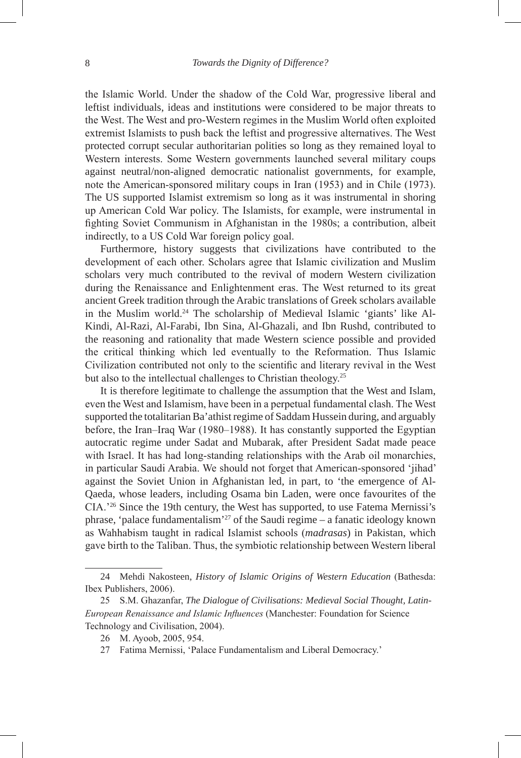the Islamic World. Under the shadow of the Cold War, progressive liberal and leftist individuals, ideas and institutions were considered to be major threats to the West. The West and pro-Western regimes in the Muslim World often exploited extremist Islamists to push back the leftist and progressive alternatives. The West protected corrupt secular authoritarian polities so long as they remained loyal to Western interests. Some Western governments launched several military coups against neutral/non-aligned democratic nationalist governments, for example, note the American-sponsored military coups in Iran (1953) and in Chile (1973). The US supported Islamist extremism so long as it was instrumental in shoring up American Cold War policy. The Islamists, for example, were instrumental in fighting Soviet Communism in Afghanistan in the 1980s; a contribution, albeit indirectly, to a US Cold War foreign policy goal.

Furthermore, history suggests that civilizations have contributed to the development of each other. Scholars agree that Islamic civilization and Muslim scholars very much contributed to the revival of modern Western civilization during the Renaissance and Enlightenment eras. The West returned to its great ancient Greek tradition through the Arabic translations of Greek scholars available in the Muslim world.24 The scholarship of Medieval Islamic 'giants' like Al-Kindi, Al-Razi, Al-Farabi, Ibn Sina, Al-Ghazali, and Ibn Rushd, contributed to the reasoning and rationality that made Western science possible and provided the critical thinking which led eventually to the Reformation. Thus Islamic Civilization contributed not only to the scientific and literary revival in the West but also to the intellectual challenges to Christian theology.<sup>25</sup>

It is therefore legitimate to challenge the assumption that the West and Islam, even the West and Islamism, have been in a perpetual fundamental clash. The West supported the totalitarian Ba'athist regime of Saddam Hussein during, and arguably before, the Iran–Iraq War (1980–1988). It has constantly supported the Egyptian autocratic regime under Sadat and Mubarak, after President Sadat made peace with Israel. It has had long-standing relationships with the Arab oil monarchies, in particular Saudi Arabia. We should not forget that American-sponsored 'jihad' against the Soviet Union in Afghanistan led, in part, to 'the emergence of Al-Qaeda, whose leaders, including Osama bin Laden, were once favourites of the CIA.'<sup>26</sup> Since the 19th century, the West has supported, to use Fatema Mernissi's phrase, 'palace fundamentalism'27 of the Saudi regime – a fanatic ideology known as Wahhabism taught in radical Islamist schools (*madrasas*) in Pakistan, which gave birth to the Taliban. Thus, the symbiotic relationship between Western liberal

<sup>24</sup> Mehdi Nakosteen, *History of Islamic Origins of Western Education* (Bathesda: Ibex Publishers, 2006).

<sup>25</sup> S.M. Ghazanfar, *The Dialogue of Civilisations: Medieval Social Thought, Latin-European Renaissance and Islamic Influences* (Manchester: Foundation for Science Technology and Civilisation, 2004).

<sup>26</sup> M. Ayoob, 2005, 954.

<sup>27</sup> Fatima Mernissi, 'Palace Fundamentalism and Liberal Democracy.'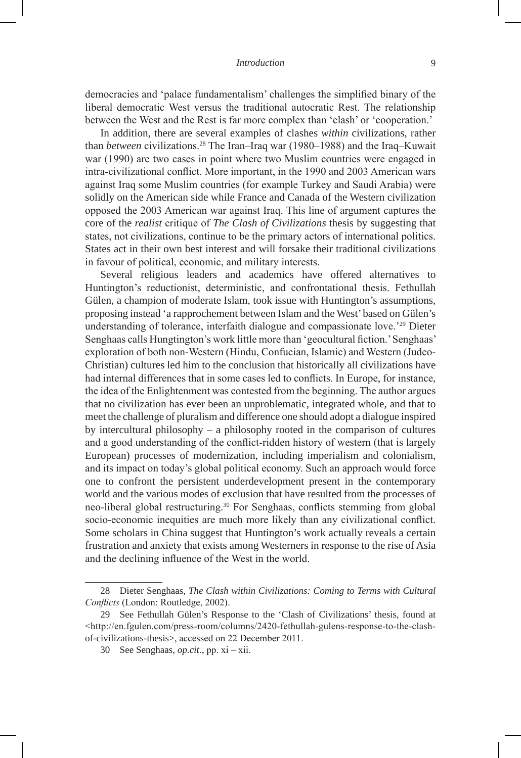democracies and 'palace fundamentalism' challenges the simplified binary of the liberal democratic West versus the traditional autocratic Rest. The relationship between the West and the Rest is far more complex than 'clash' or 'cooperation.'

In addition, there are several examples of clashes *within* civilizations, rather than *between* civilizations.<sup>28</sup> The Iran–Iraq war (1980–1988) and the Iraq–Kuwait war (1990) are two cases in point where two Muslim countries were engaged in intra-civilizational conflict. More important, in the 1990 and 2003 American wars against Iraq some Muslim countries (for example Turkey and Saudi Arabia) were solidly on the American side while France and Canada of the Western civilization opposed the 2003 American war against Iraq. This line of argument captures the core of the *realist* critique of *The Clash of Civilizations* thesis by suggesting that states, not civilizations, continue to be the primary actors of international politics. States act in their own best interest and will forsake their traditional civilizations in favour of political, economic, and military interests.

Several religious leaders and academics have offered alternatives to Huntington's reductionist, deterministic, and confrontational thesis. Fethullah Gülen, a champion of moderate Islam, took issue with Huntington's assumptions, proposing instead 'a rapprochement between Islam and the West' based on Gülen's understanding of tolerance, interfaith dialogue and compassionate love.'<sup>29</sup> Dieter Senghaas calls Hungtington's work little more than 'geocultural fiction.' Senghaas' exploration of both non-Western (Hindu, Confucian, Islamic) and Western (Judeo-Christian) cultures led him to the conclusion that historically all civilizations have had internal differences that in some cases led to conflicts. In Europe, for instance, the idea of the Enlightenment was contested from the beginning. The author argues that no civilization has ever been an unproblematic, integrated whole, and that to meet the challenge of pluralism and difference one should adopt a dialogue inspired by intercultural philosophy – a philosophy rooted in the comparison of cultures and a good understanding of the conflict-ridden history of western (that is largely European) processes of modernization, including imperialism and colonialism, and its impact on today's global political economy. Such an approach would force one to confront the persistent underdevelopment present in the contemporary world and the various modes of exclusion that have resulted from the processes of neo-liberal global restructuring.<sup>30</sup> For Senghaas, conflicts stemming from global socio-economic inequities are much more likely than any civilizational conflict. Some scholars in China suggest that Huntington's work actually reveals a certain frustration and anxiety that exists among Westerners in response to the rise of Asia and the declining influence of the West in the world.

<sup>28</sup> Dieter Senghaas, *The Clash within Civilizations: Coming to Terms with Cultural Conflicts* (London: Routledge, 2002).

<sup>29</sup> See Fethullah Gülen's Response to the 'Clash of Civilizations' thesis, found at <http://en.fgulen.com/press-room/columns/2420-fethullah-gulens-response-to-the-clashof-civilizations-thesis>, accessed on 22 December 2011.

<sup>30</sup> See Senghaas, *op.cit*., pp. xi – xii.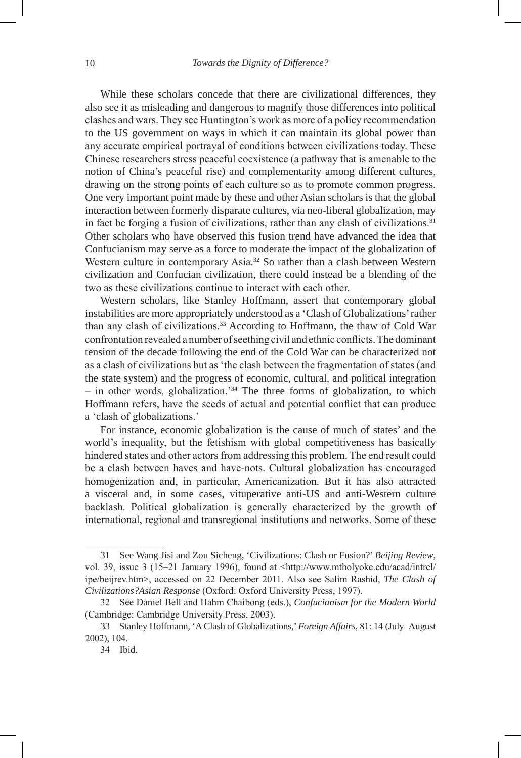While these scholars concede that there are civilizational differences, they also see it as misleading and dangerous to magnify those differences into political clashes and wars. They see Huntington's work as more of a policy recommendation to the US government on ways in which it can maintain its global power than any accurate empirical portrayal of conditions between civilizations today. These Chinese researchers stress peaceful coexistence (a pathway that is amenable to the notion of China's peaceful rise) and complementarity among different cultures, drawing on the strong points of each culture so as to promote common progress. One very important point made by these and other Asian scholars is that the global interaction between formerly disparate cultures, via neo-liberal globalization, may in fact be forging a fusion of civilizations, rather than any clash of civilizations.<sup>31</sup> Other scholars who have observed this fusion trend have advanced the idea that Confucianism may serve as a force to moderate the impact of the globalization of Western culture in contemporary Asia.<sup>32</sup> So rather than a clash between Western civilization and Confucian civilization, there could instead be a blending of the two as these civilizations continue to interact with each other.

Western scholars, like Stanley Hoffmann, assert that contemporary global instabilities are more appropriately understood as a 'Clash of Globalizations' rather than any clash of civilizations.<sup>33</sup> According to Hoffmann, the thaw of Cold War confrontation revealed a number of seething civil and ethnic conflicts. The dominant tension of the decade following the end of the Cold War can be characterized not as a clash of civilizations but as 'the clash between the fragmentation of states (and the state system) and the progress of economic, cultural, and political integration – in other words, globalization.'34 The three forms of globalization, to which Hoffmann refers, have the seeds of actual and potential conflict that can produce a 'clash of globalizations.'

For instance, economic globalization is the cause of much of states' and the world's inequality, but the fetishism with global competitiveness has basically hindered states and other actors from addressing this problem. The end result could be a clash between haves and have-nots. Cultural globalization has encouraged homogenization and, in particular, Americanization. But it has also attracted a visceral and, in some cases, vituperative anti-US and anti-Western culture backlash. Political globalization is generally characterized by the growth of international, regional and transregional institutions and networks. Some of these

<sup>31</sup> See Wang Jisi and Zou Sicheng, 'Civilizations: Clash or Fusion?' *Beijing Review*, vol. 39, issue 3 (15–21 January 1996), found at <http://www.mtholyoke.edu/acad/intrel/ ipe/beijrev.htm>, accessed on 22 December 2011. Also see Salim Rashid, *The Clash of Civilizations?Asian Response* (Oxford: Oxford University Press, 1997).

<sup>32</sup> See Daniel Bell and Hahm Chaibong (eds.), *Confucianism for the Modern World* (Cambridge: Cambridge University Press, 2003).

<sup>33</sup> Stanley Hoffmann, 'A Clash of Globalizations,' *Foreign Affairs*, 81: 14 (July–August 2002), 104.

<sup>34</sup> Ibid.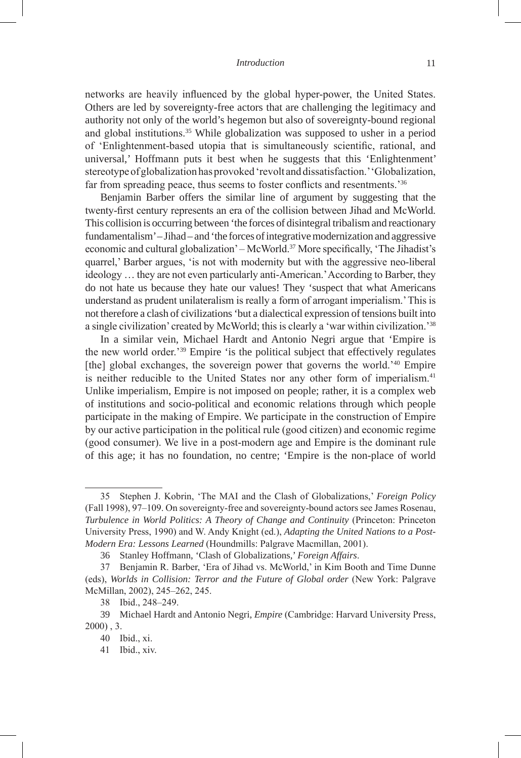#### *Introduction* 11

networks are heavily influenced by the global hyper-power, the United States. Others are led by sovereignty-free actors that are challenging the legitimacy and authority not only of the world's hegemon but also of sovereignty-bound regional and global institutions.<sup>35</sup> While globalization was supposed to usher in a period of 'Enlightenment-based utopia that is simultaneously scientific, rational, and universal,' Hoffmann puts it best when he suggests that this 'Enlightenment' stereotype of globalization has provoked 'revolt and dissatisfaction.' 'Globalization, far from spreading peace, thus seems to foster conflicts and resentments.<sup>36</sup>

Benjamin Barber offers the similar line of argument by suggesting that the twenty-first century represents an era of the collision between Jihad and McWorld. This collision is occurring between 'the forces of disintegral tribalism and reactionary fundamentalism' – Jihad – and 'the forces of integrative modernization and aggressive economic and cultural globalization' – McWorld.<sup>37</sup> More specifically, 'The Jihadist's quarrel,' Barber argues, 'is not with modernity but with the aggressive neo-liberal ideology … they are not even particularly anti-American.' According to Barber, they do not hate us because they hate our values! They 'suspect that what Americans understand as prudent unilateralism is really a form of arrogant imperialism.' This is not therefore a clash of civilizations 'but a dialectical expression of tensions built into a single civilization' created by McWorld; this is clearly a 'war within civilization.'<sup>38</sup>

In a similar vein, Michael Hardt and Antonio Negri argue that 'Empire is the new world order.'<sup>39</sup> Empire 'is the political subject that effectively regulates [the] global exchanges, the sovereign power that governs the world.<sup>240</sup> Empire is neither reducible to the United States nor any other form of imperialism.<sup>41</sup> Unlike imperialism, Empire is not imposed on people; rather, it is a complex web of institutions and socio-political and economic relations through which people participate in the making of Empire. We participate in the construction of Empire by our active participation in the political rule (good citizen) and economic regime (good consumer). We live in a post-modern age and Empire is the dominant rule of this age; it has no foundation, no centre; 'Empire is the non-place of world

<sup>35</sup> Stephen J. Kobrin, 'The MAI and the Clash of Globalizations,' *Foreign Policy* (Fall 1998), 97–109. On sovereignty-free and sovereignty-bound actors see James Rosenau, *Turbulence in World Politics: A Theory of Change and Continuity* (Princeton: Princeton University Press, 1990) and W. Andy Knight (ed.), *Adapting the United Nations to a Post-Modern Era: Lessons Learned* (Houndmills: Palgrave Macmillan, 2001).

<sup>36</sup> Stanley Hoffmann, 'Clash of Globalizations,' *Foreign Affairs*.

<sup>37</sup> Benjamin R. Barber, 'Era of Jihad vs. McWorld,' in Kim Booth and Time Dunne (eds), *Worlds in Collision: Terror and the Future of Global order* (New York: Palgrave McMillan, 2002), 245–262, 245.

<sup>38</sup> Ibid., 248–249.

<sup>39</sup> Michael Hardt and Antonio Negri, *Empire* (Cambridge: Harvard University Press, 2000) , 3.

<sup>40</sup> Ibid., xi.

<sup>41</sup> Ibid., xiv.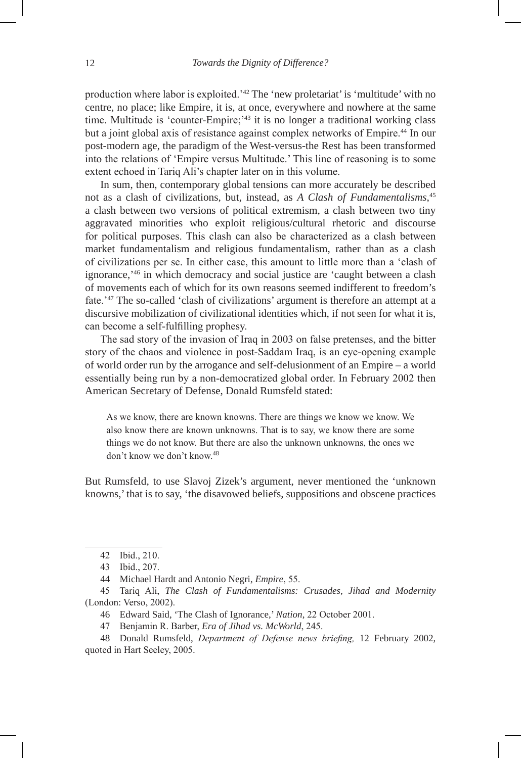production where labor is exploited.'42 The 'new proletariat' is 'multitude' with no centre, no place; like Empire, it is, at once, everywhere and nowhere at the same time. Multitude is 'counter-Empire;'<sup>43</sup> it is no longer a traditional working class but a joint global axis of resistance against complex networks of Empire.<sup>44</sup> In our post-modern age, the paradigm of the West-versus-the Rest has been transformed into the relations of 'Empire versus Multitude.' This line of reasoning is to some extent echoed in Tariq Ali's chapter later on in this volume.

In sum, then, contemporary global tensions can more accurately be described not as a clash of civilizations, but, instead, as *A Clash of Fundamentalisms*, 45 a clash between two versions of political extremism, a clash between two tiny aggravated minorities who exploit religious/cultural rhetoric and discourse for political purposes. This clash can also be characterized as a clash between market fundamentalism and religious fundamentalism, rather than as a clash of civilizations per se. In either case, this amount to little more than a 'clash of ignorance,'46 in which democracy and social justice are 'caught between a clash of movements each of which for its own reasons seemed indifferent to freedom's fate.'47 The so-called 'clash of civilizations' argument is therefore an attempt at a discursive mobilization of civilizational identities which, if not seen for what it is, can become a self-fulfilling prophesy.

The sad story of the invasion of Iraq in 2003 on false pretenses, and the bitter story of the chaos and violence in post-Saddam Iraq, is an eye-opening example of world order run by the arrogance and self-delusionment of an Empire – a world essentially being run by a non-democratized global order. In February 2002 then American Secretary of Defense, Donald Rumsfeld stated:

As we know, there are known knowns. There are things we know we know. We also know there are known unknowns. That is to say, we know there are some things we do not know. But there are also the unknown unknowns, the ones we don't know we don't know.<sup>48</sup>

But Rumsfeld, to use Slavoj Zizek's argument, never mentioned the 'unknown knowns,' that is to say, 'the disavowed beliefs, suppositions and obscene practices

<sup>42</sup> Ibid., 210.

<sup>43</sup> Ibid., 207.

<sup>44</sup> Michael Hardt and Antonio Negri, *Empire*, 55.

<sup>45</sup> Tariq Ali, *The Clash of Fundamentalisms: Crusades, Jihad and Modernity*  (London: Verso, 2002).

<sup>46</sup> Edward Said, 'The Clash of Ignorance,' *Nation*, 22 October 2001.

<sup>47</sup> Benjamin R. Barber, *Era of Jihad vs. McWorld*, 245.

<sup>48</sup> Donald Rumsfeld, *Department of Defense news briefing,* 12 February 2002, quoted in Hart Seeley, 2005.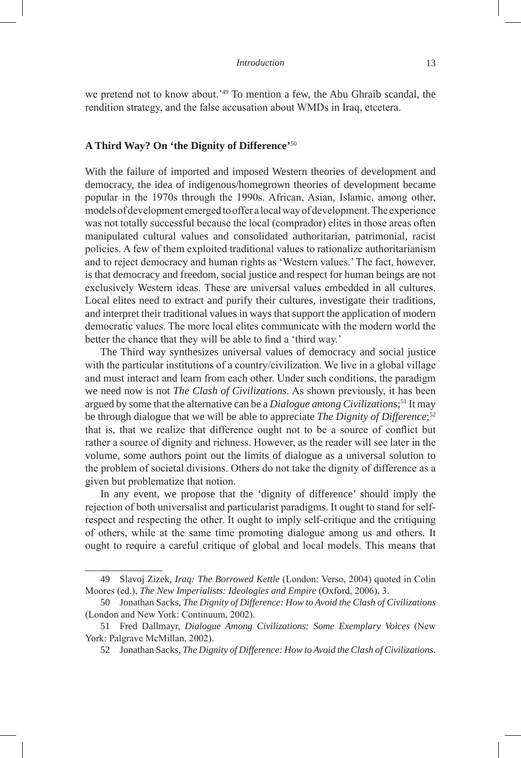we pretend not to know about.'49 To mention a few, the Abu Ghraib scandal, the rendition strategy, and the false accusation about WMDs in Iraq, etcetera.

# **A Third Way? On 'the Dignity of Difference'**<sup>50</sup>

With the failure of imported and imposed Western theories of development and democracy, the idea of indigenous/homegrown theories of development became popular in the 1970s through the 1990s. African, Asian, Islamic, among other, models of development emerged to offer a local way of development. The experience was not totally successful because the local (comprador) elites in those areas often manipulated cultural values and consolidated authoritarian, patrimonial, racist policies. A few of them exploited traditional values to rationalize authoritarianism and to reject democracy and human rights as 'Western values.' The fact, however, is that democracy and freedom, social justice and respect for human beings are not exclusively Western ideas. These are universal values embedded in all cultures. Local elites need to extract and purify their cultures, investigate their traditions, and interpret their traditional values in ways that support the application of modern democratic values. The more local elites communicate with the modern world the better the chance that they will be able to find a 'third way.'

The Third way synthesizes universal values of democracy and social justice with the particular institutions of a country/civilization. We live in a global village and must interact and learn from each other. Under such conditions, the paradigm we need now is not *The Clash of Civilizations*. As shown previously, it has been argued by some that the alternative can be a *Dialogue among Civilizations*; <sup>51</sup> It may be through dialogue that we will be able to appreciate *The Dignity of Difference*; 52 that is, that we realize that difference ought not to be a source of conflict but rather a source of dignity and richness. However, as the reader will see later in the volume, some authors point out the limits of dialogue as a universal solution to the problem of societal divisions. Others do not take the dignity of difference as a given but problematize that notion.

In any event, we propose that the 'dignity of difference' should imply the rejection of both universalist and particularist paradigms. It ought to stand for selfrespect and respecting the other. It ought to imply self-critique and the critiquing of others, while at the same time promoting dialogue among us and others. It ought to require a careful critique of global and local models. This means that

<sup>49</sup> Slavoj Zizek, *Iraq: The Borrowed Kettle* (London: Verso, 2004) quoted in Colin Moores (ed.), *The New Imperialists: Ideologies and Empire* (Oxford, 2006), 3.

<sup>50</sup> Jonathan Sacks, *The Dignity of Difference: How to Avoid the Clash of Civilizations* (London and New York: Continuum, 2002).

<sup>51</sup> Fred Dallmayr, *Dialogue Among Civilizations: Some Exemplary Voices* (New York: Palgrave McMillan, 2002).

<sup>52</sup> Jonathan Sacks, *The Dignity of Difference: How to Avoid the Clash of Civilizations*.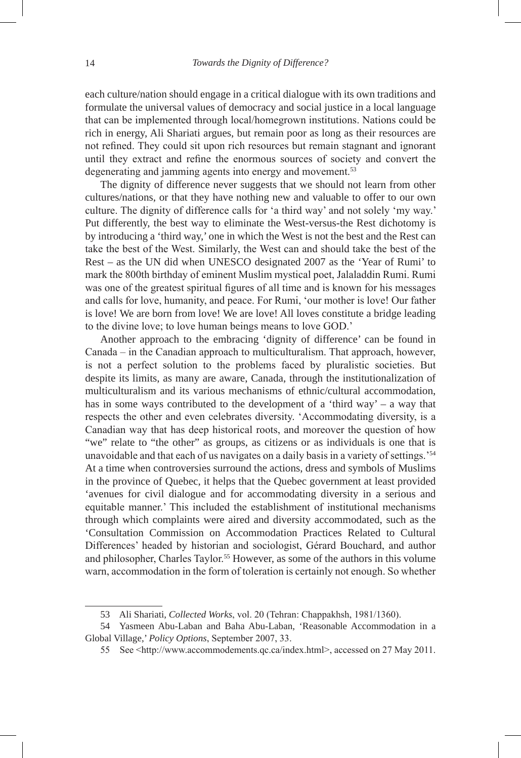each culture/nation should engage in a critical dialogue with its own traditions and formulate the universal values of democracy and social justice in a local language that can be implemented through local/homegrown institutions. Nations could be rich in energy, Ali Shariati argues, but remain poor as long as their resources are not refined. They could sit upon rich resources but remain stagnant and ignorant until they extract and refine the enormous sources of society and convert the degenerating and jamming agents into energy and movement.<sup>53</sup>

The dignity of difference never suggests that we should not learn from other cultures/nations, or that they have nothing new and valuable to offer to our own culture. The dignity of difference calls for 'a third way' and not solely 'my way.' Put differently, the best way to eliminate the West-versus-the Rest dichotomy is by introducing a 'third way,' one in which the West is not the best and the Rest can take the best of the West. Similarly, the West can and should take the best of the Rest – as the UN did when UNESCO designated 2007 as the 'Year of Rumi' to mark the 800th birthday of eminent Muslim mystical poet, Jalaladdin Rumi. Rumi was one of the greatest spiritual figures of all time and is known for his messages and calls for love, humanity, and peace. For Rumi, 'our mother is love! Our father is love! We are born from love! We are love! All loves constitute a bridge leading to the divine love; to love human beings means to love GOD.'

Another approach to the embracing 'dignity of difference' can be found in Canada – in the Canadian approach to multiculturalism. That approach, however, is not a perfect solution to the problems faced by pluralistic societies. But despite its limits, as many are aware, Canada, through the institutionalization of multiculturalism and its various mechanisms of ethnic/cultural accommodation, has in some ways contributed to the development of a 'third way' – a way that respects the other and even celebrates diversity. 'Accommodating diversity, is a Canadian way that has deep historical roots, and moreover the question of how "we" relate to "the other" as groups, as citizens or as individuals is one that is unavoidable and that each of us navigates on a daily basis in a variety of settings.'<sup>54</sup> At a time when controversies surround the actions, dress and symbols of Muslims in the province of Quebec, it helps that the Quebec government at least provided 'avenues for civil dialogue and for accommodating diversity in a serious and equitable manner.' This included the establishment of institutional mechanisms through which complaints were aired and diversity accommodated, such as the 'Consultation Commission on Accommodation Practices Related to Cultural Differences' headed by historian and sociologist, Gérard Bouchard, and author and philosopher, Charles Taylor.<sup>55</sup> However, as some of the authors in this volume warn, accommodation in the form of toleration is certainly not enough. So whether

<sup>53</sup> Ali Shariati, *Collected Works*, vol. 20 (Tehran: Chappakhsh, 1981/1360).

<sup>54</sup> Yasmeen Abu-Laban and Baha Abu-Laban, 'Reasonable Accommodation in a Global Village,' *Policy Options*, September 2007, 33.

<sup>55</sup> See <http://www.accommodements.qc.ca/index.html>, accessed on 27 May 2011.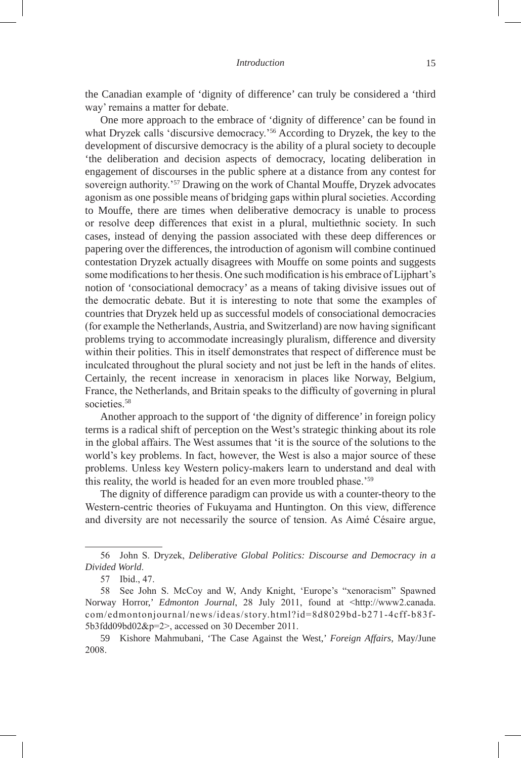the Canadian example of 'dignity of difference' can truly be considered a 'third way' remains a matter for debate.

One more approach to the embrace of 'dignity of difference' can be found in what Dryzek calls 'discursive democracy.'<sup>56</sup> According to Dryzek, the key to the development of discursive democracy is the ability of a plural society to decouple 'the deliberation and decision aspects of democracy, locating deliberation in engagement of discourses in the public sphere at a distance from any contest for sovereign authority.'<sup>57</sup> Drawing on the work of Chantal Mouffe, Dryzek advocates agonism as one possible means of bridging gaps within plural societies. According to Mouffe, there are times when deliberative democracy is unable to process or resolve deep differences that exist in a plural, multiethnic society. In such cases, instead of denying the passion associated with these deep differences or papering over the differences, the introduction of agonism will combine continued contestation Dryzek actually disagrees with Mouffe on some points and suggests some modifications to her thesis. One such modification is his embrace of Lijphart's notion of 'consociational democracy' as a means of taking divisive issues out of the democratic debate. But it is interesting to note that some the examples of countries that Dryzek held up as successful models of consociational democracies (for example the Netherlands, Austria, and Switzerland) are now having significant problems trying to accommodate increasingly pluralism, difference and diversity within their polities. This in itself demonstrates that respect of difference must be inculcated throughout the plural society and not just be left in the hands of elites. Certainly, the recent increase in xenoracism in places like Norway, Belgium, France, the Netherlands, and Britain speaks to the difficulty of governing in plural societies.<sup>58</sup>

Another approach to the support of 'the dignity of difference' in foreign policy terms is a radical shift of perception on the West's strategic thinking about its role in the global affairs. The West assumes that 'it is the source of the solutions to the world's key problems. In fact, however, the West is also a major source of these problems. Unless key Western policy-makers learn to understand and deal with this reality, the world is headed for an even more troubled phase.'<sup>59</sup>

The dignity of difference paradigm can provide us with a counter-theory to the Western-centric theories of Fukuyama and Huntington. On this view, difference and diversity are not necessarily the source of tension. As Aimé Césaire argue,

<sup>56</sup> John S. Dryzek, *Deliberative Global Politics: Discourse and Democracy in a Divided World*.

<sup>57</sup> Ibid., 47.

<sup>58</sup> See John S. McCoy and W, Andy Knight, 'Europe's "xenoracism" Spawned Norway Horror,' *Edmonton Journal*, 28 July 2011, found at <http://www2.canada. com/edmontonjournal/news/ideas/story.html?id=8d8029bd-b271-4cff-b83f-5b3fdd09bd02&p=2>, accessed on 30 December 2011.

<sup>59</sup> Kishore Mahmubani, 'The Case Against the West,' *Foreign Affairs*, May/June 2008.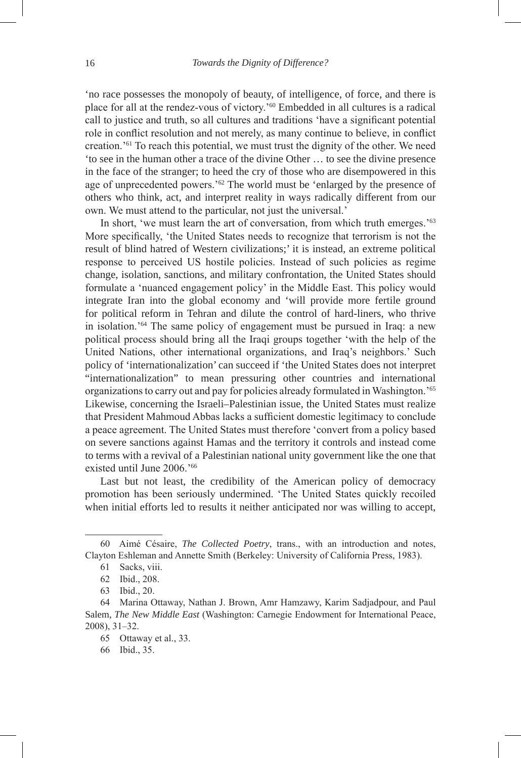'no race possesses the monopoly of beauty, of intelligence, of force, and there is place for all at the rendez-vous of victory.'<sup>60</sup> Embedded in all cultures is a radical call to justice and truth, so all cultures and traditions 'have a significant potential role in conflict resolution and not merely, as many continue to believe, in conflict creation.'<sup>61</sup> To reach this potential, we must trust the dignity of the other. We need 'to see in the human other a trace of the divine Other … to see the divine presence in the face of the stranger; to heed the cry of those who are disempowered in this age of unprecedented powers.'62 The world must be 'enlarged by the presence of others who think, act, and interpret reality in ways radically different from our own. We must attend to the particular, not just the universal.'

In short, 'we must learn the art of conversation, from which truth emerges.'<sup>63</sup> More specifically, 'the United States needs to recognize that terrorism is not the result of blind hatred of Western civilizations;' it is instead, an extreme political response to perceived US hostile policies. Instead of such policies as regime change, isolation, sanctions, and military confrontation, the United States should formulate a 'nuanced engagement policy' in the Middle East. This policy would integrate Iran into the global economy and 'will provide more fertile ground for political reform in Tehran and dilute the control of hard-liners, who thrive in isolation.'<sup>64</sup> The same policy of engagement must be pursued in Iraq: a new political process should bring all the Iraqi groups together 'with the help of the United Nations, other international organizations, and Iraq's neighbors.' Such policy of 'internationalization' can succeed if 'the United States does not interpret "internationalization" to mean pressuring other countries and international organizations to carry out and pay for policies already formulated in Washington.'<sup>65</sup> Likewise, concerning the Israeli–Palestinian issue, the United States must realize that President Mahmoud Abbas lacks a sufficient domestic legitimacy to conclude a peace agreement. The United States must therefore 'convert from a policy based on severe sanctions against Hamas and the territory it controls and instead come to terms with a revival of a Palestinian national unity government like the one that existed until June 2006.'<sup>66</sup>

Last but not least, the credibility of the American policy of democracy promotion has been seriously undermined. 'The United States quickly recoiled when initial efforts led to results it neither anticipated nor was willing to accept,

<sup>60</sup> Aimé Césaire, *The Collected Poetry*, trans., with an introduction and notes, Clayton Eshleman and Annette Smith (Berkeley: University of California Press, 1983).

<sup>61</sup> Sacks, viii.

<sup>62</sup> Ibid., 208.

<sup>63</sup> Ibid., 20.

<sup>64</sup> Marina Ottaway, Nathan J. Brown, Amr Hamzawy, Karim Sadjadpour, and Paul Salem, *The New Middle East* (Washington: Carnegie Endowment for International Peace, 2008), 31–32.

<sup>65</sup> Ottaway et al., 33.

<sup>66</sup> Ibid., 35.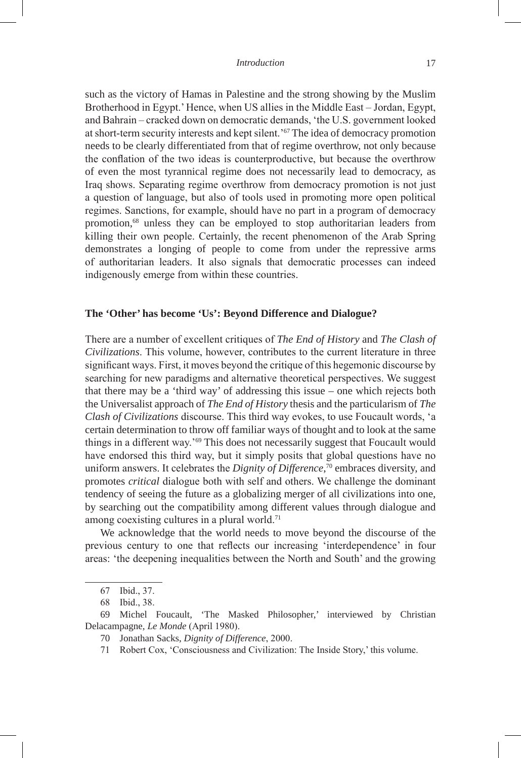such as the victory of Hamas in Palestine and the strong showing by the Muslim Brotherhood in Egypt.' Hence, when US allies in the Middle East – Jordan, Egypt, and Bahrain – cracked down on democratic demands, 'the U.S. government looked at short-term security interests and kept silent.'67 The idea of democracy promotion needs to be clearly differentiated from that of regime overthrow, not only because the conflation of the two ideas is counterproductive, but because the overthrow of even the most tyrannical regime does not necessarily lead to democracy, as Iraq shows. Separating regime overthrow from democracy promotion is not just a question of language, but also of tools used in promoting more open political regimes. Sanctions, for example, should have no part in a program of democracy promotion,68 unless they can be employed to stop authoritarian leaders from killing their own people. Certainly, the recent phenomenon of the Arab Spring demonstrates a longing of people to come from under the repressive arms of authoritarian leaders. It also signals that democratic processes can indeed indigenously emerge from within these countries.

# **The 'Other' has become 'Us': Beyond Difference and Dialogue?**

There are a number of excellent critiques of *The End of History* and *The Clash of Civilizations*. This volume, however, contributes to the current literature in three significant ways. First, it moves beyond the critique of this hegemonic discourse by searching for new paradigms and alternative theoretical perspectives. We suggest that there may be a 'third way' of addressing this issue – one which rejects both the Universalist approach of *The End of History* thesis and the particularism of *The Clash of Civilizations* discourse. This third way evokes, to use Foucault words, 'a certain determination to throw off familiar ways of thought and to look at the same things in a different way.'69 This does not necessarily suggest that Foucault would have endorsed this third way, but it simply posits that global questions have no uniform answers. It celebrates the *Dignity of Difference*, 70 embraces diversity, and promotes *critical* dialogue both with self and others. We challenge the dominant tendency of seeing the future as a globalizing merger of all civilizations into one, by searching out the compatibility among different values through dialogue and among coexisting cultures in a plural world.<sup>71</sup>

We acknowledge that the world needs to move beyond the discourse of the previous century to one that reflects our increasing 'interdependence' in four areas: 'the deepening inequalities between the North and South' and the growing

<sup>67</sup> Ibid., 37.

<sup>68</sup> Ibid., 38.

<sup>69</sup> Michel Foucault, 'The Masked Philosopher,' interviewed by Christian Delacampagne, *Le Monde* (April 1980).

<sup>70</sup> Jonathan Sacks, *Dignity of Difference*, 2000.

<sup>71</sup> Robert Cox, 'Consciousness and Civilization: The Inside Story,' this volume.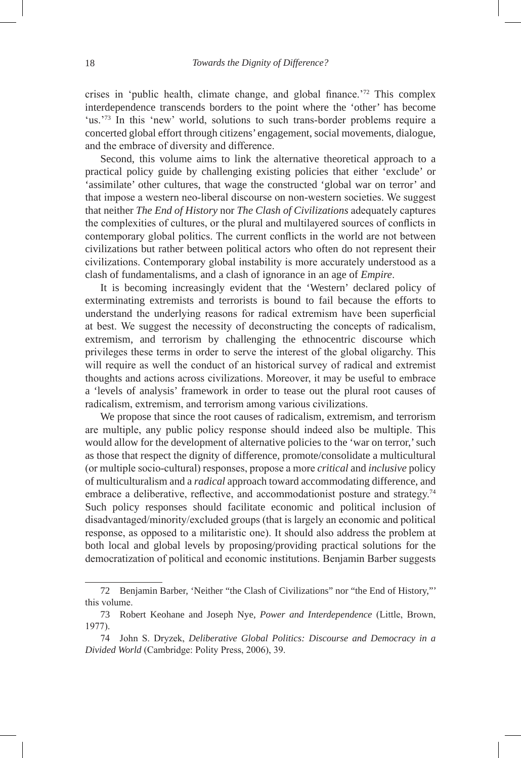crises in 'public health, climate change, and global finance.'72 This complex interdependence transcends borders to the point where the 'other' has become 'us.'73 In this 'new' world, solutions to such trans-border problems require a concerted global effort through citizens' engagement, social movements, dialogue, and the embrace of diversity and difference.

Second, this volume aims to link the alternative theoretical approach to a practical policy guide by challenging existing policies that either 'exclude' or 'assimilate' other cultures, that wage the constructed 'global war on terror' and that impose a western neo-liberal discourse on non-western societies. We suggest that neither *The End of History* nor *The Clash of Civilizations* adequately captures the complexities of cultures, or the plural and multilayered sources of conflicts in contemporary global politics. The current conflicts in the world are not between civilizations but rather between political actors who often do not represent their civilizations. Contemporary global instability is more accurately understood as a clash of fundamentalisms, and a clash of ignorance in an age of *Empire*.

It is becoming increasingly evident that the 'Western' declared policy of exterminating extremists and terrorists is bound to fail because the efforts to understand the underlying reasons for radical extremism have been superficial at best. We suggest the necessity of deconstructing the concepts of radicalism, extremism, and terrorism by challenging the ethnocentric discourse which privileges these terms in order to serve the interest of the global oligarchy. This will require as well the conduct of an historical survey of radical and extremist thoughts and actions across civilizations. Moreover, it may be useful to embrace a 'levels of analysis' framework in order to tease out the plural root causes of radicalism, extremism, and terrorism among various civilizations.

We propose that since the root causes of radicalism, extremism, and terrorism are multiple, any public policy response should indeed also be multiple. This would allow for the development of alternative policies to the 'war on terror,' such as those that respect the dignity of difference, promote/consolidate a multicultural (or multiple socio-cultural) responses, propose a more *critical* and *inclusive* policy of multiculturalism and a *radical* approach toward accommodating difference, and embrace a deliberative, reflective, and accommodationist posture and strategy.<sup>74</sup> Such policy responses should facilitate economic and political inclusion of disadvantaged/minority/excluded groups (that is largely an economic and political response, as opposed to a militaristic one). It should also address the problem at both local and global levels by proposing/providing practical solutions for the democratization of political and economic institutions. Benjamin Barber suggests

<sup>72</sup> Benjamin Barber, 'Neither "the Clash of Civilizations" nor "the End of History,"' this volume.

<sup>73</sup> Robert Keohane and Joseph Nye, *Power and Interdependence* (Little, Brown, 1977).

<sup>74</sup> John S. Dryzek, *Deliberative Global Politics: Discourse and Democracy in a Divided World* (Cambridge: Polity Press, 2006), 39.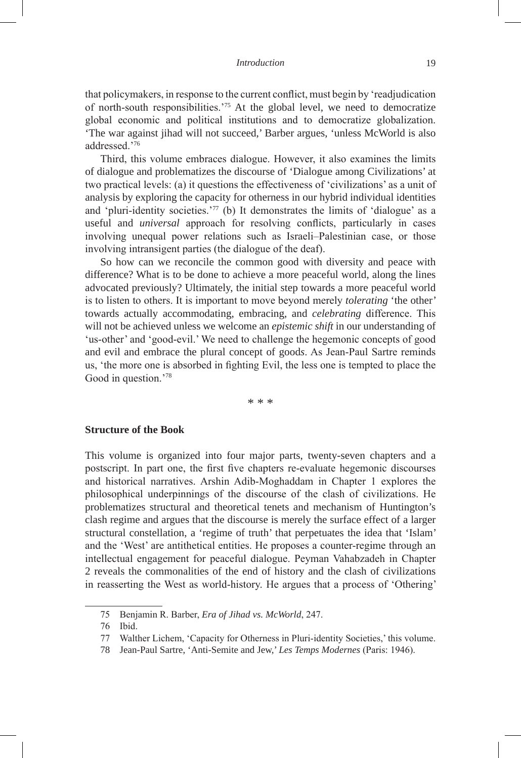that policymakers, in response to the current conflict, must begin by 'readjudication of north-south responsibilities.'<sup>75</sup> At the global level, we need to democratize global economic and political institutions and to democratize globalization. 'The war against jihad will not succeed,' Barber argues, 'unless McWorld is also addressed.'<sup>76</sup>

Third, this volume embraces dialogue. However, it also examines the limits of dialogue and problematizes the discourse of 'Dialogue among Civilizations' at two practical levels: (a) it questions the effectiveness of 'civilizations' as a unit of analysis by exploring the capacity for otherness in our hybrid individual identities and 'pluri-identity societies.'<sup>77</sup> (b) It demonstrates the limits of 'dialogue' as a useful and *universal* approach for resolving conflicts, particularly in cases involving unequal power relations such as Israeli–Palestinian case, or those involving intransigent parties (the dialogue of the deaf).

So how can we reconcile the common good with diversity and peace with difference? What is to be done to achieve a more peaceful world, along the lines advocated previously? Ultimately, the initial step towards a more peaceful world is to listen to others. It is important to move beyond merely *tolerating* 'the other' towards actually accommodating, embracing, and *celebrating* difference. This will not be achieved unless we welcome an *epistemic shift* in our understanding of 'us-other' and 'good-evil.' We need to challenge the hegemonic concepts of good and evil and embrace the plural concept of good*s*. As Jean-Paul Sartre reminds us, 'the more one is absorbed in fighting Evil, the less one is tempted to place the Good in question.'78

\* \* \*

# **Structure of the Book**

This volume is organized into four major parts, twenty-seven chapters and a postscript. In part one, the first five chapters re-evaluate hegemonic discourses and historical narratives. Arshin Adib-Moghaddam in Chapter 1 explores the philosophical underpinnings of the discourse of the clash of civilizations. He problematizes structural and theoretical tenets and mechanism of Huntington's clash regime and argues that the discourse is merely the surface effect of a larger structural constellation, a 'regime of truth' that perpetuates the idea that 'Islam' and the 'West' are antithetical entities. He proposes a counter-regime through an intellectual engagement for peaceful dialogue. Peyman Vahabzadeh in Chapter 2 reveals the commonalities of the end of history and the clash of civilizations in reasserting the West as world-history. He argues that a process of 'Othering'

<sup>75</sup> Benjamin R. Barber, *Era of Jihad vs. McWorld*, 247.

<sup>76</sup> Ibid.

<sup>77</sup> Walther Lichem, 'Capacity for Otherness in Pluri-identity Societies,' this volume.

<sup>78</sup> Jean-Paul Sartre, 'Anti-Semite and Jew,' *Les Temps Modernes* (Paris: 1946).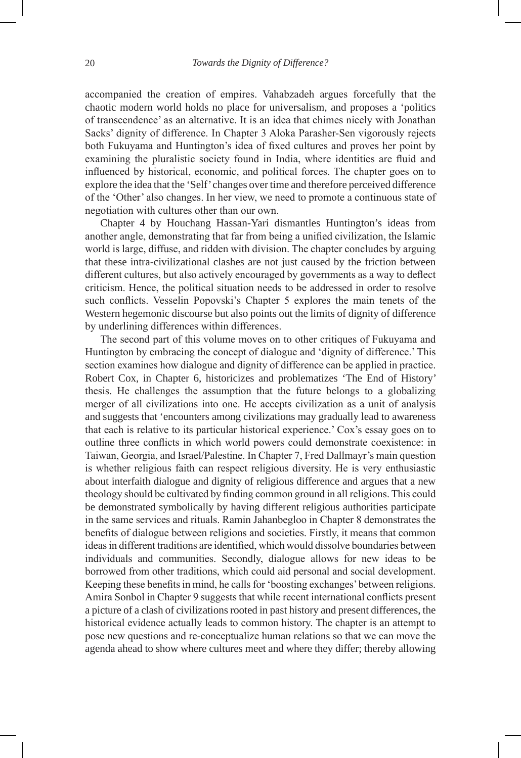accompanied the creation of empires. Vahabzadeh argues forcefully that the chaotic modern world holds no place for universalism, and proposes a 'politics of transcendence' as an alternative. It is an idea that chimes nicely with Jonathan Sacks' dignity of difference. In Chapter 3 Aloka Parasher-Sen vigorously rejects both Fukuyama and Huntington's idea of fixed cultures and proves her point by examining the pluralistic society found in India, where identities are fluid and influenced by historical, economic, and political forces. The chapter goes on to explore the idea that the 'Self' changes over time and therefore perceived difference of the 'Other' also changes. In her view, we need to promote a continuous state of negotiation with cultures other than our own.

Chapter 4 by Houchang Hassan-Yari dismantles Huntington's ideas from another angle, demonstrating that far from being a unified civilization, the Islamic world is large, diffuse, and ridden with division. The chapter concludes by arguing that these intra-civilizational clashes are not just caused by the friction between different cultures, but also actively encouraged by governments as a way to deflect criticism. Hence, the political situation needs to be addressed in order to resolve such conflicts. Vesselin Popovski's Chapter 5 explores the main tenets of the Western hegemonic discourse but also points out the limits of dignity of difference by underlining differences within differences.

The second part of this volume moves on to other critiques of Fukuyama and Huntington by embracing the concept of dialogue and 'dignity of difference.' This section examines how dialogue and dignity of difference can be applied in practice. Robert Cox, in Chapter 6, historicizes and problematizes 'The End of History' thesis. He challenges the assumption that the future belongs to a globalizing merger of all civilizations into one. He accepts civilization as a unit of analysis and suggests that 'encounters among civilizations may gradually lead to awareness that each is relative to its particular historical experience.' Cox's essay goes on to outline three conflicts in which world powers could demonstrate coexistence: in Taiwan, Georgia, and Israel/Palestine. In Chapter 7, Fred Dallmayr's main question is whether religious faith can respect religious diversity. He is very enthusiastic about interfaith dialogue and dignity of religious difference and argues that a new theology should be cultivated by finding common ground in all religions. This could be demonstrated symbolically by having different religious authorities participate in the same services and rituals. Ramin Jahanbegloo in Chapter 8 demonstrates the benefits of dialogue between religions and societies. Firstly, it means that common ideas in different traditions are identified, which would dissolve boundaries between individuals and communities. Secondly, dialogue allows for new ideas to be borrowed from other traditions, which could aid personal and social development. Keeping these benefits in mind, he calls for 'boosting exchanges' between religions. Amira Sonbol in Chapter 9 suggests that while recent international conflicts present a picture of a clash of civilizations rooted in past history and present differences, the historical evidence actually leads to common history. The chapter is an attempt to pose new questions and re-conceptualize human relations so that we can move the agenda ahead to show where cultures meet and where they differ; thereby allowing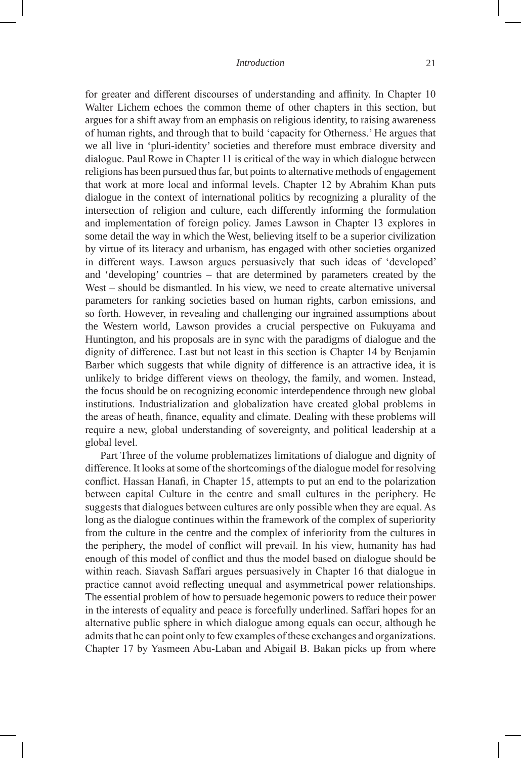for greater and different discourses of understanding and affinity. In Chapter 10 Walter Lichem echoes the common theme of other chapters in this section, but argues for a shift away from an emphasis on religious identity, to raising awareness of human rights, and through that to build 'capacity for Otherness.' He argues that we all live in 'pluri-identity' societies and therefore must embrace diversity and dialogue. Paul Rowe in Chapter 11 is critical of the way in which dialogue between religions has been pursued thus far, but points to alternative methods of engagement that work at more local and informal levels. Chapter 12 by Abrahim Khan puts dialogue in the context of international politics by recognizing a plurality of the intersection of religion and culture, each differently informing the formulation and implementation of foreign policy. James Lawson in Chapter 13 explores in some detail the way in which the West, believing itself to be a superior civilization by virtue of its literacy and urbanism, has engaged with other societies organized in different ways. Lawson argues persuasively that such ideas of 'developed' and 'developing' countries – that are determined by parameters created by the West – should be dismantled. In his view, we need to create alternative universal parameters for ranking societies based on human rights, carbon emissions, and so forth. However, in revealing and challenging our ingrained assumptions about the Western world, Lawson provides a crucial perspective on Fukuyama and Huntington, and his proposals are in sync with the paradigms of dialogue and the dignity of difference. Last but not least in this section is Chapter 14 by Benjamin Barber which suggests that while dignity of difference is an attractive idea, it is unlikely to bridge different views on theology, the family, and women. Instead, the focus should be on recognizing economic interdependence through new global institutions. Industrialization and globalization have created global problems in the areas of heath, finance, equality and climate. Dealing with these problems will require a new, global understanding of sovereignty, and political leadership at a global level.

Part Three of the volume problematizes limitations of dialogue and dignity of difference. It looks at some of the shortcomings of the dialogue model for resolving conflict. Hassan Hanafi, in Chapter 15, attempts to put an end to the polarization between capital Culture in the centre and small cultures in the periphery. He suggests that dialogues between cultures are only possible when they are equal. As long as the dialogue continues within the framework of the complex of superiority from the culture in the centre and the complex of inferiority from the cultures in the periphery, the model of conflict will prevail. In his view, humanity has had enough of this model of conflict and thus the model based on dialogue should be within reach. Siavash Saffari argues persuasively in Chapter 16 that dialogue in practice cannot avoid reflecting unequal and asymmetrical power relationships. The essential problem of how to persuade hegemonic powers to reduce their power in the interests of equality and peace is forcefully underlined. Saffari hopes for an alternative public sphere in which dialogue among equals can occur, although he admits that he can point only to few examples of these exchanges and organizations. Chapter 17 by Yasmeen Abu-Laban and Abigail B. Bakan picks up from where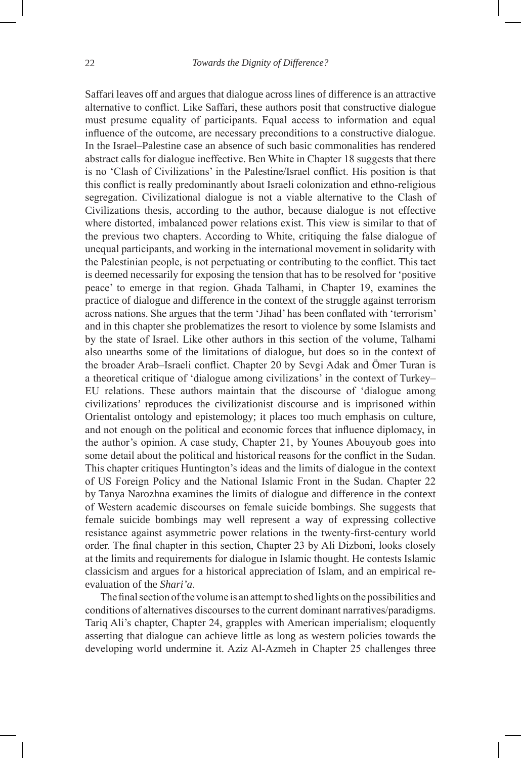Saffari leaves off and argues that dialogue across lines of difference is an attractive alternative to conflict. Like Saffari, these authors posit that constructive dialogue must presume equality of participants. Equal access to information and equal influence of the outcome, are necessary preconditions to a constructive dialogue. In the Israel–Palestine case an absence of such basic commonalities has rendered abstract calls for dialogue ineffective. Ben White in Chapter 18 suggests that there is no 'Clash of Civilizations' in the Palestine/Israel conflict. His position is that this conflict is really predominantly about Israeli colonization and ethno-religious segregation. Civilizational dialogue is not a viable alternative to the Clash of Civilizations thesis, according to the author, because dialogue is not effective where distorted, imbalanced power relations exist. This view is similar to that of the previous two chapters. According to White, critiquing the false dialogue of unequal participants, and working in the international movement in solidarity with the Palestinian people, is not perpetuating or contributing to the conflict. This tact is deemed necessarily for exposing the tension that has to be resolved for 'positive peace' to emerge in that region. Ghada Talhami, in Chapter 19, examines the practice of dialogue and difference in the context of the struggle against terrorism across nations. She argues that the term 'Jihad' has been conflated with 'terrorism' and in this chapter she problematizes the resort to violence by some Islamists and by the state of Israel. Like other authors in this section of the volume, Talhami also unearths some of the limitations of dialogue, but does so in the context of the broader Arab–Israeli conflict. Chapter 20 by Sevgi Adak and Ömer Turan is a theoretical critique of 'dialogue among civilizations' in the context of Turkey– EU relations. These authors maintain that the discourse of 'dialogue among civilizations' reproduces the civilizationist discourse and is imprisoned within Orientalist ontology and epistemology; it places too much emphasis on culture, and not enough on the political and economic forces that influence diplomacy, in the author's opinion. A case study, Chapter 21, by Younes Abouyoub goes into some detail about the political and historical reasons for the conflict in the Sudan. This chapter critiques Huntington's ideas and the limits of dialogue in the context of US Foreign Policy and the National Islamic Front in the Sudan. Chapter 22 by Tanya Narozhna examines the limits of dialogue and difference in the context of Western academic discourses on female suicide bombings. She suggests that female suicide bombings may well represent a way of expressing collective resistance against asymmetric power relations in the twenty-first-century world order. The final chapter in this section, Chapter 23 by Ali Dizboni, looks closely at the limits and requirements for dialogue in Islamic thought. He contests Islamic classicism and argues for a historical appreciation of Islam, and an empirical reevaluation of the *Shari'a*.

The final section of the volume is an attempt to shed lights on the possibilities and conditions of alternatives discourses to the current dominant narratives/paradigms. Tariq Ali's chapter, Chapter 24, grapples with American imperialism; eloquently asserting that dialogue can achieve little as long as western policies towards the developing world undermine it. Aziz Al-Azmeh in Chapter 25 challenges three